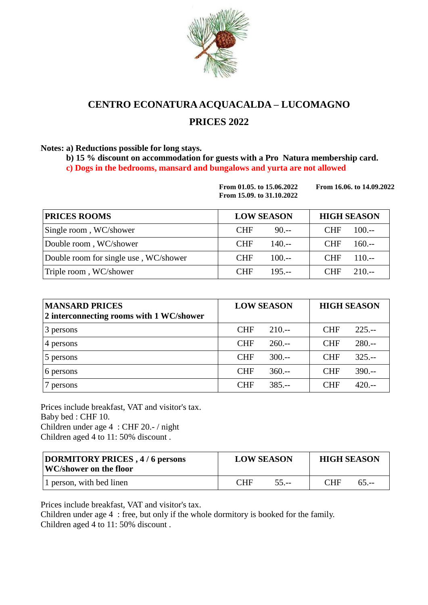

## **CENTRO ECONATURA ACQUACALDA – LUCOMAGNO PRICES 2022**

## **Notes: a) Reductions possible for long stays.**

**b) 15 % discount on accommodation for guests with a Pro Natura membership card.**

**From 01.05. to 15.06.2022 From 16.06. to 14.09.2022**

**c) Dogs in the bedrooms, mansard and bungalows and yurta are not allowed**

|                                       | From 15.09. to 31.10.2022 |                          |  |
|---------------------------------------|---------------------------|--------------------------|--|
| <b>PRICES ROOMS</b>                   | <b>LOW SEASON</b>         | <b>HIGH SEASON</b>       |  |
| Single room, WC/shower                | <b>CHF</b><br>$90 --$     | <b>CHF</b><br>$100. - -$ |  |
| Double room, WC/shower                | $140--$<br><b>CHF</b>     | <b>CHF</b><br>$160--$    |  |
| Double room for single use, WC/shower | $100 --$<br><b>CHF</b>    | <b>CHF</b><br>$110. - -$ |  |
| Triple room, WC/shower                | $195. -$<br><b>CHF</b>    | <b>CHF</b><br>$210--$    |  |

| <b>MANSARD PRICES</b><br>2 interconnecting rooms with 1 WC/shower | <b>LOW SEASON</b> |          | <b>HIGH SEASON</b> |          |
|-------------------------------------------------------------------|-------------------|----------|--------------------|----------|
| 3 persons                                                         | <b>CHF</b>        | $210--$  | <b>CHF</b>         | $225 -$  |
| 4 persons                                                         | <b>CHF</b>        | $260--$  | <b>CHF</b>         | $280--$  |
| 5 persons                                                         | <b>CHF</b>        | $300 --$ | <b>CHF</b>         | $325--$  |
| 6 persons                                                         | <b>CHF</b>        | $360--$  | <b>CHF</b>         | $390 --$ |
| 7 persons                                                         | <b>CHF</b>        | $385--$  | <b>CHF</b>         | $420 -$  |

Prices include breakfast, VAT and visitor's tax. Baby bed : CHF 10. Children under age 4 : CHF 20.- / night Children aged 4 to 11: 50% discount .

| DORMITORY PRICES, 4/6 persons<br><b>WC</b> /shower on the floor | <b>LOW SEASON</b>    | <b>HIGH SEASON</b>   |  |
|-----------------------------------------------------------------|----------------------|----------------------|--|
| 1 person, with bed linen                                        | <b>CHF</b><br>$55 -$ | <b>CHF</b><br>$65 -$ |  |

Prices include breakfast, VAT and visitor's tax.

Children under age 4 : free, but only if the whole dormitory is booked for the family. Children aged 4 to 11: 50% discount .